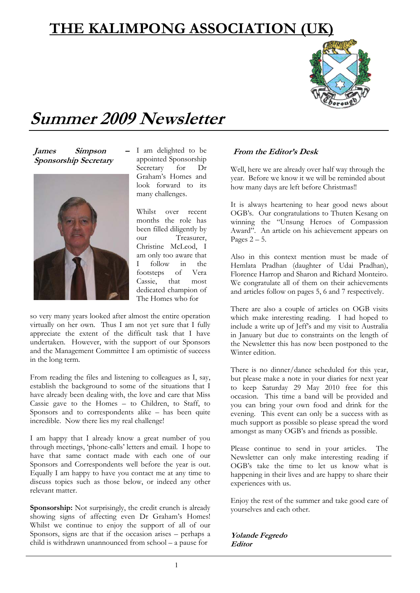# **THE KALIMPONG ASSOCIATION (UK)**



# **Summer 2009 Newsletter**

*James* Simpson **Sponsorship Secretary** 



I am delighted to be appointed Sponsorship Secretary for Dr Graham's Homes and look forward to its many challenges.

Whilst over recent months the role has been filled diligently by our Treasurer, Christine McLeod, I am only too aware that I follow in the footsteps of Vera Cassie, that most dedicated champion of The Homes who for

so very many years looked after almost the entire operation virtually on her own. Thus I am not yet sure that I fully appreciate the extent of the difficult task that I have undertaken. However, with the support of our Sponsors and the Management Committee I am optimistic of success in the long term.

From reading the files and listening to colleagues as I, say, establish the background to some of the situations that I have already been dealing with, the love and care that Miss Cassie gave to the Homes – to Children, to Staff, to Sponsors and to correspondents alike – has been quite incredible. Now there lies my real challenge!

I am happy that I already know a great number of you through meetings, 'phone-calls' letters and email. I hope to have that same contact made with each one of our Sponsors and Correspondents well before the year is out. Equally I am happy to have you contact me at any time to discuss topics such as those below, or indeed any other relevant matter.

**Sponsorship:** Not surprisingly, the credit crunch is already showing signs of affecting even Dr Graham's Homes! Whilst we continue to enjoy the support of all of our Sponsors, signs are that if the occasion arises – perhaps a child is withdrawn unannounced from school – a pause for

## **From the Editor's Desk**

Well, here we are already over half way through the year. Before we know it we will be reminded about how many days are left before Christmas!!

It is always heartening to hear good news about OGB's. Our congratulations to Thuten Kesang on winning the "Unsung Heroes of Compassion Award". An article on his achievement appears on Pages  $2 - 5$ .

Also in this context mention must be made of Hemlata Pradhan (daughter of Udai Pradhan), Florence Harrop and Sharon and Richard Monteiro. We congratulate all of them on their achievements and articles follow on pages 5, 6 and 7 respectively.

There are also a couple of articles on OGB visits which make interesting reading. I had hoped to include a write up of Jeff's and my visit to Australia in January but due to constraints on the length of the Newsletter this has now been postponed to the Winter edition.

There is no dinner/dance scheduled for this year, but please make a note in your diaries for next year to keep Saturday 29 May 2010 free for this occasion. This time a band will be provided and you can bring your own food and drink for the evening. This event can only be a success with as much support as possible so please spread the word amongst as many OGB's and friends as possible.

Please continue to send in your articles. The Newsletter can only make interesting reading if OGB's take the time to let us know what is happening in their lives and are happy to share their experiences with us.

Enjoy the rest of the summer and take good care of yourselves and each other.

**Yolande Fegredo Editor**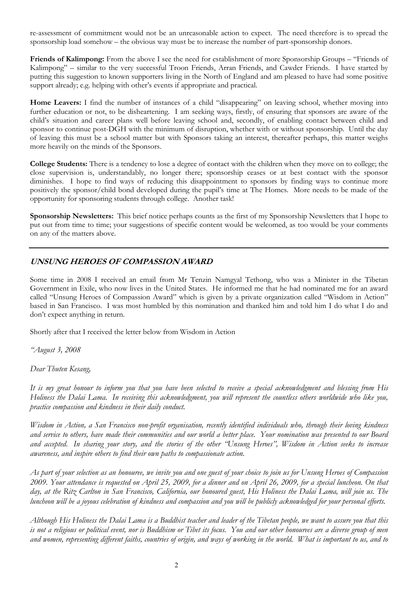re-assessment of commitment would not be an unreasonable action to expect. The need therefore is to spread the sponsorship load somehow – the obvious way must be to increase the number of part-sponsorship donors.

**Friends of Kalimpong:** From the above I see the need for establishment of more Sponsorship Groups – "Friends of Kalimpong" – similar to the very successful Troon Friends, Arran Friends, and Cawder Friends. I have started by putting this suggestion to known supporters living in the North of England and am pleased to have had some positive support already; e.g. helping with other's events if appropriate and practical.

**Home Leavers:** I find the number of instances of a child "disappearing" on leaving school, whether moving into further education or not, to be disheartening. I am seeking ways, firstly, of ensuring that sponsors are aware of the child's situation and career plans well before leaving school and, secondly, of enabling contact between child and sponsor to continue post-DGH with the minimum of disruption, whether with or without sponsorship. Until the day of leaving this must be a school matter but with Sponsors taking an interest, thereafter perhaps, this matter weighs more heavily on the minds of the Sponsors.

**College Students:** There is a tendency to lose a degree of contact with the children when they move on to college; the close supervision is, understandably, no longer there; sponsorship ceases or at best contact with the sponsor diminishes. I hope to find ways of reducing this disappointment to sponsors by finding ways to continue more positively the sponsor/child bond developed during the pupil's time at The Homes. More needs to be made of the opportunity for sponsoring students through college. Another task!

**Sponsorship Newsletters:** This brief notice perhaps counts as the first of my Sponsorship Newsletters that I hope to put out from time to time; your suggestions of specific content would be welcomed, as too would be your comments on any of the matters above.

### **UNSUNG HEROES OF COMPASSION AWARD**

Some time in 2008 I received an email from Mr Tenzin Namgyal Tethong, who was a Minister in the Tibetan Government in Exile, who now lives in the United States. He informed me that he had nominated me for an award called "Unsung Heroes of Compassion Award" which is given by a private organization called "Wisdom in Action" based in San Francisco. I was most humbled by this nomination and thanked him and told him I do what I do and don't expect anything in return.

Shortly after that I received the letter below from Wisdom in Action

*"August 3, 2008* 

*Dear Thuten Kesang,* 

*It is my great honour to inform you that you have been selected to receive a special acknowledgment and blessing from His Holiness the Dalai Lama. In receiving this acknowledgment, you will represent the countless others worldwide who like you, practice compassion and kindness in their daily conduct.* 

*Wisdom in Action, a San Francisco non-profit organisation, recently identified individuals who, through their loving kindness and service to others, have made their communities and our world a better place. Your nomination was presented to our Board*  and accepted. In sharing your story, and the stories of the other "Unsung Heroes", Wisdom in Action seeks to increase *awareness, and inspire others to find their own paths to compassionate action.* 

*As part of your selection as an honouree, we invite you and one guest of your choice to join us for Unsung Heroes of Compassion 2009. Your attendance is requested on April 25, 2009, for a dinner and on April 26, 2009, for a special luncheon. On that day, at the Ritz Carlton in San Francisco, California, our honoured guest, His Holiness the Dalai Lama, will join us. The luncheon will be a joyous celebration of kindness and compassion and you will be publicly acknowledged for your personal efforts.* 

*Although His Holiness the Dalai Lama is a Buddhist teacher and leader of the Tibetan people, we want to assure you that this is not a religious or political event, nor is Buddhism or Tibet its focus. You and our other honourees are a diverse group of men and women, representing different faiths, countries of origin, and ways of working in the world. What is important to us, and to*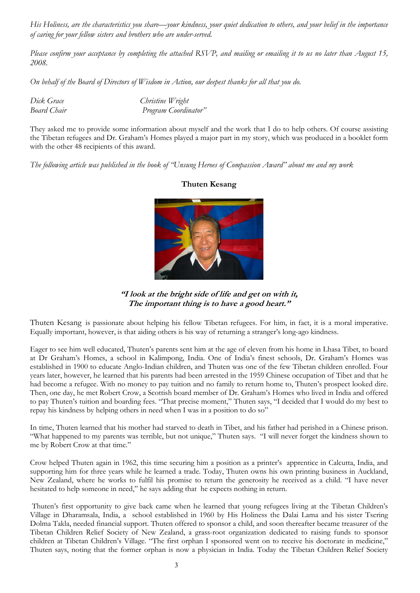*His Holiness, are the characteristics you share—your kindness, your quiet dedication to others, and your belief in the importance of caring for your fellow sisters and brothers who are under-served.* 

*Please confirm your acceptance by completing the attached RSVP, and mailing or emailing it to us no later than August 15, 2008.* 

*On behalf of the Board of Directors of Wisdom in Action, our deepest thanks for all that you do.* 

| Dick Grace         | Christine Wright     |
|--------------------|----------------------|
| <b>Board Chair</b> | Program Coordinator" |

They asked me to provide some information about myself and the work that I do to help others. Of course assisting the Tibetan refugees and Dr. Graham's Homes played a major part in my story, which was produced in a booklet form with the other 48 recipients of this award.

*The following article was published in the book of "Unsung Heroes of Compassion Award" about me and my work* 



#### **Thuten Kesang**

**"I look at the bright side of life and get on with it, The important thing is to have a good heart."**

Thuten Kesang is passionate about helping his fellow Tibetan refugees. For him, in fact, it is a moral imperative. Equally important, however, is that aiding others is his way of returning a stranger's long-ago kindness.

Eager to see him well educated, Thuten's parents sent him at the age of eleven from his home in Lhasa Tibet, to board at Dr Graham's Homes, a school in Kalimpong, India. One of India's finest schools, Dr. Graham's Homes was established in 1900 to educate Anglo-Indian children, and Thuten was one of the few Tibetan children enrolled. Four years later, however, he learned that his parents had been arrested in the 1959 Chinese occupation of Tibet and that he had become a refugee. With no money to pay tuition and no family to return home to, Thuten's prospect looked dire. Then, one day, he met Robert Crow, a Scottish board member of Dr. Graham's Homes who lived in India and offered to pay Thuten's tuition and boarding fees. "That precise moment," Thuten says, "I decided that I would do my best to repay his kindness by helping others in need when I was in a position to do so"

In time, Thuten learned that his mother had starved to death in Tibet, and his father had perished in a Chinese prison. "What happened to my parents was terrible, but not unique," Thuten says. "I will never forget the kindness shown to me by Robert Crow at that time."

Crow helped Thuten again in 1962, this time securing him a position as a printer's apprentice in Calcutta, India, and supporting him for three years while he learned a trade. Today, Thuten owns his own printing business in Auckland, New Zealand, where he works to fulfil his promise to return the generosity he received as a child. "I have never hesitated to help someone in need," he says adding that he expects nothing in return.

 Thuten's first opportunity to give back came when he learned that young refugees living at the Tibetan Children's Village in Dharamsala, India, a school established in 1960 by His Holiness the Dalai Lama and his sister Tsering Dolma Takla, needed financial support. Thuten offered to sponsor a child, and soon thereafter became treasurer of the Tibetan Children Relief Society of New Zealand, a grass-root organization dedicated to raising funds to sponsor children at Tibetan Children's Village. "The first orphan I sponsored went on to receive his doctorate in medicine," Thuten says, noting that the former orphan is now a physician in India. Today the Tibetan Children Relief Society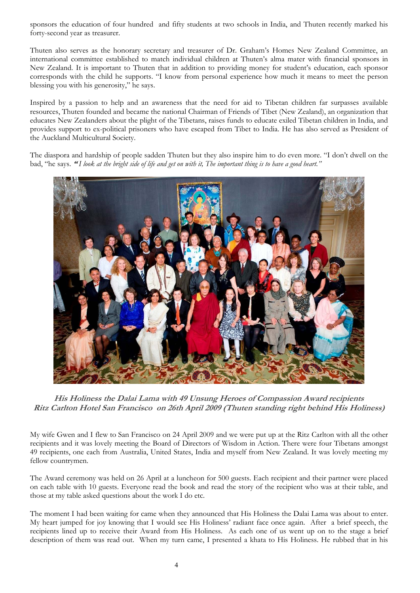sponsors the education of four hundred and fifty students at two schools in India, and Thuten recently marked his forty-second year as treasurer.

Thuten also serves as the honorary secretary and treasurer of Dr. Graham's Homes New Zealand Committee, an international committee established to match individual children at Thuten's alma mater with financial sponsors in New Zealand. It is important to Thuten that in addition to providing money for student's education, each sponsor corresponds with the child he supports. "I know from personal experience how much it means to meet the person blessing you with his generosity," he says.

Inspired by a passion to help and an awareness that the need for aid to Tibetan children far surpasses available resources, Thuten founded and became the national Chairman of Friends of Tibet (New Zealand), an organization that educates New Zealanders about the plight of the Tibetans, raises funds to educate exiled Tibetan children in India, and provides support to ex-political prisoners who have escaped from Tibet to India. He has also served as President of the Auckland Multicultural Society.

The diaspora and hardship of people sadden Thuten but they also inspire him to do even more. "I don't dwell on the bad, "he says. **"** *I look at the bright side of life and get on with it, The important thing is to have a good heart."* 



**His Holiness the Dalai Lama with 49 Unsung Heroes of Compassion Award recipients Ritz Carlton Hotel San Francisco on 26th April 2009 (Thuten standing right behind His Holiness)**

My wife Gwen and I flew to San Francisco on 24 April 2009 and we were put up at the Ritz Carlton with all the other recipients and it was lovely meeting the Board of Directors of Wisdom in Action. There were four Tibetans amongst 49 recipients, one each from Australia, United States, India and myself from New Zealand. It was lovely meeting my fellow countrymen.

The Award ceremony was held on 26 April at a luncheon for 500 guests. Each recipient and their partner were placed on each table with 10 guests. Everyone read the book and read the story of the recipient who was at their table, and those at my table asked questions about the work I do etc.

The moment I had been waiting for came when they announced that His Holiness the Dalai Lama was about to enter. My heart jumped for joy knowing that I would see His Holiness' radiant face once again. After a brief speech, the recipients lined up to receive their Award from His Holiness. As each one of us went up on to the stage a brief description of them was read out. When my turn came, I presented a khata to His Holiness. He rubbed that in his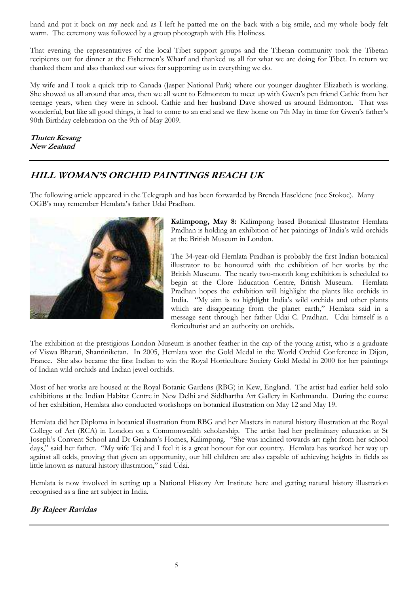hand and put it back on my neck and as I left he patted me on the back with a big smile, and my whole body felt warm. The ceremony was followed by a group photograph with His Holiness.

That evening the representatives of the local Tibet support groups and the Tibetan community took the Tibetan recipients out for dinner at the Fishermen's Wharf and thanked us all for what we are doing for Tibet. In return we thanked them and also thanked our wives for supporting us in everything we do.

My wife and I took a quick trip to Canada (Jasper National Park) where our younger daughter Elizabeth is working. She showed us all around that area, then we all went to Edmonton to meet up with Gwen's pen friend Cathie from her teenage years, when they were in school. Cathie and her husband Dave showed us around Edmonton. That was wonderful, but like all good things, it had to come to an end and we flew home on 7th May in time for Gwen's father's 90th Birthday celebration on the 9th of May 2009.

#### **Thuten Kesang New Zealand**

## **HILL WOMAN'S ORCHID PAINTINGS REACH UK**

The following article appeared in the Telegraph and has been forwarded by Brenda Haseldene (nee Stokoe). Many OGB's may remember Hemlata's father Udai Pradhan.



**Kalimpong, May 8:** Kalimpong based Botanical Illustrator Hemlata Pradhan is holding an exhibition of her paintings of India's wild orchids at the British Museum in London.

The 34-year-old Hemlata Pradhan is probably the first Indian botanical illustrator to be honoured with the exhibition of her works by the British Museum. The nearly two-month long exhibition is scheduled to begin at the Clore Education Centre, British Museum. Hemlata Pradhan hopes the exhibition will highlight the plants like orchids in India. "My aim is to highlight India's wild orchids and other plants which are disappearing from the planet earth," Hemlata said in a message sent through her father Udai C. Pradhan. Udai himself is a floriculturist and an authority on orchids.

The exhibition at the prestigious London Museum is another feather in the cap of the young artist, who is a graduate of Viswa Bharati, Shantiniketan. In 2005, Hemlata won the Gold Medal in the World Orchid Conference in Dijon, France. She also became the first Indian to win the Royal Horticulture Society Gold Medal in 2000 for her paintings of Indian wild orchids and Indian jewel orchids.

Most of her works are housed at the Royal Botanic Gardens (RBG) in Kew, England. The artist had earlier held solo exhibitions at the Indian Habitat Centre in New Delhi and Siddhartha Art Gallery in Kathmandu. During the course of her exhibition, Hemlata also conducted workshops on botanical illustration on May 12 and May 19.

Hemlata did her Diploma in botanical illustration from RBG and her Masters in natural history illustration at the Royal College of Art (RCA) in London on a Commonwealth scholarship. The artist had her preliminary education at St Joseph's Convent School and Dr Graham's Homes, Kalimpong. "She was inclined towards art right from her school days," said her father. "My wife Tej and I feel it is a great honour for our country. Hemlata has worked her way up against all odds, proving that given an opportunity, our hill children are also capable of achieving heights in fields as little known as natural history illustration," said Udai.

Hemlata is now involved in setting up a National History Art Institute here and getting natural history illustration recognised as a fine art subject in India.

## **By Rajeev Ravidas**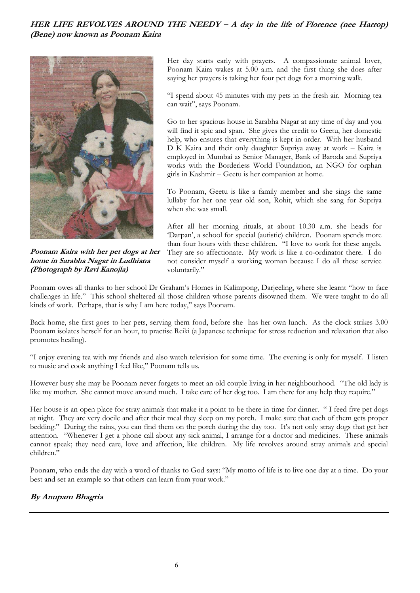## **HER LIFE REVOLVES AROUND THE NEEDY – A day in the life of Florence (nee Harrop) (Bene) now known as Poonam Kaira**



**Poonam Kaira with her pet dogs at her home in Sarabha Nagar in Ludhiana (Photograph by Ravi Kanojla)** 

Her day starts early with prayers. A compassionate animal lover, Poonam Kaira wakes at 5.00 a.m. and the first thing she does after saying her prayers is taking her four pet dogs for a morning walk.

"I spend about 45 minutes with my pets in the fresh air. Morning tea can wait", says Poonam.

Go to her spacious house in Sarabha Nagar at any time of day and you will find it spic and span. She gives the credit to Geetu, her domestic help, who ensures that everything is kept in order. With her husband D K Kaira and their only daughter Supriya away at work – Kaira is employed in Mumbai as Senior Manager, Bank of Baroda and Supriya works with the Borderless World Foundation, an NGO for orphan girls in Kashmir – Geetu is her companion at home.

To Poonam, Geetu is like a family member and she sings the same lullaby for her one year old son, Rohit, which she sang for Supriya when she was small.

After all her morning rituals, at about 10.30 a.m. she heads for 'Darpan', a school for special (autistic) children. Poonam spends more than four hours with these children. "I love to work for these angels. They are so affectionate. My work is like a co-ordinator there. I do not consider myself a working woman because I do all these service voluntarily."

Poonam owes all thanks to her school Dr Graham's Homes in Kalimpong, Darjeeling, where she learnt "how to face challenges in life." This school sheltered all those children whose parents disowned them. We were taught to do all kinds of work. Perhaps, that is why I am here today," says Poonam.

Back home, she first goes to her pets, serving them food, before she has her own lunch. As the clock strikes 3.00 Poonam isolates herself for an hour, to practise Reiki (a Japanese technique for stress reduction and relaxation that also promotes healing).

"I enjoy evening tea with my friends and also watch television for some time. The evening is only for myself. I listen to music and cook anything I feel like," Poonam tells us.

However busy she may be Poonam never forgets to meet an old couple living in her neighbourhood. "The old lady is like my mother. She cannot move around much. I take care of her dog too. I am there for any help they require."

Her house is an open place for stray animals that make it a point to be there in time for dinner. "I feed five pet dogs at night. They are very docile and after their meal they sleep on my porch. I make sure that each of them gets proper bedding." During the rains, you can find them on the porch during the day too. It's not only stray dogs that get her attention. "Whenever I get a phone call about any sick animal, I arrange for a doctor and medicines. These animals cannot speak; they need care, love and affection, like children. My life revolves around stray animals and special children."

Poonam, who ends the day with a word of thanks to God says: "My motto of life is to live one day at a time. Do your best and set an example so that others can learn from your work."

## **By Anupam Bhagria**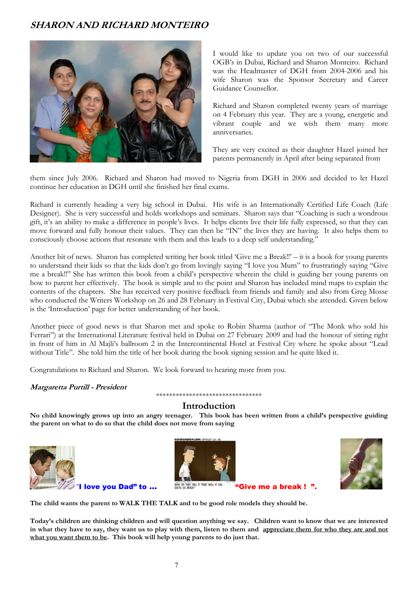## **SHARON AND RICHARD MONTEIRO**



I would like to update you on two of our successful OGB's in Dubai, Richard and Sharon Monteiro. Richard was the Headmaster of DGH from 2004-2006 and his wife Sharon was the Sponsor Secretary and Career Guidance Counsellor.

Richard and Sharon completed twenty years of marriage on 4 February this year. They are a young, energetic and vibrant couple and we wish them many more anniversaries.

They are very excited as their daughter Hazel joined her parents permanently in April after being separated from

them since July 2006. Richard and Sharon had moved to Nigeria from DGH in 2006 and decided to let Hazel continue her education in DGH until she finished her final exams.

Richard is currently heading a very big school in Dubai. His wife is an Internationally Certified Life Coach (Life Designer). She is very successful and holds workshops and seminars. Sharon says that "Coaching is such a wondrous gift, it's an ability to make a difference in people's lives. It helps clients live their life fully expressed, so that they can move forward and fully honour their values. They can then be "IN" the lives they are having. It also helps them to consciously choose actions that resonate with them and this leads to a deep self understanding."

Another bit of news. Sharon has completed writing her book titled 'Give me a Break!!' – it is a book for young parents to understand their kids so that the kids don't go from lovingly saying "I love you Mum" to frustratingly saying "Give me a break!!" She has written this book from a child's perspective wherein the child is guiding her young parents on how to parent her effectively. The book is simple and to the point and Sharon has included mind maps to explain the contents of the chapters. She has received very positive feedback from friends and family and also from Greg Mosse who conducted the Writers Workshop on 26 and 28 February in Festival City, Dubai which she attended. Given below is the 'Introduction' page for better understanding of her book.

Another piece of good news is that Sharon met and spoke to Robin Sharma (author of "The Monk who sold his Ferrari") at the International Literature festival held in Dubai on 27 February 2009 and had the honour of sitting right in front of him in Al Majli's ballroom 2 in the Intercontinental Hotel at Festival City where he spoke about "Lead without Title". She told him the title of her book during the book signing session and he quite liked it.

Congratulations to Richard and Sharon. We look forward to hearing more from you.

#### **Margaretta Purtill - President**

\*\*\*\*\*\*\*\*\*\*\*\*\*\*\*\*\*\*\*\*\*\*\*\*\*\*\*\*\*\*\*\*

### **Introduction**

**No child knowingly grows up into an angry teenager. This book has been written from a child's perspective guiding the parent on what to do so that the child does not move from saying** 







**The child wants the parent to WALK THE TALK and to be good role models they should be.** 

**Today's children are thinking children and will question anything we say. Children want to know that we are interested in what they have to say, they want us to play with them, listen to them and appreciate them for who they are and not what you want them to be. This book will help young parents to do just that.**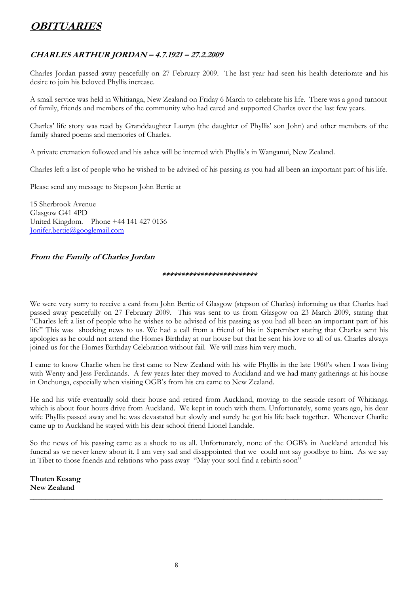# **OBITUARIES**

## **CHARLES ARTHUR JORDAN – 4.7.1921 – 27.2.2009**

Charles Jordan passed away peacefully on 27 February 2009. The last year had seen his health deteriorate and his desire to join his beloved Phyllis increase.

A small service was held in Whitianga, New Zealand on Friday 6 March to celebrate his life. There was a good turnout of family, friends and members of the community who had cared and supported Charles over the last few years.

Charles' life story was read by Granddaughter Lauryn (the daughter of Phyllis' son John) and other members of the family shared poems and memories of Charles.

A private cremation followed and his ashes will be interned with Phyllis's in Wanganui, New Zealand.

Charles left a list of people who he wished to be advised of his passing as you had all been an important part of his life.

Please send any message to Stepson John Bertie at

15 Sherbrook Avenue Glasgow G41 4PD United Kingdom. Phone +44 141 427 0136 Jonifer.bertie@googlemail.com

### **From the Family of Charles Jordan**

#### **\*\*\*\*\*\*\*\*\*\*\*\*\*\*\*\*\*\*\*\*\*\*\*\*\***

We were very sorry to receive a card from John Bertie of Glasgow (stepson of Charles) informing us that Charles had passed away peacefully on 27 February 2009. This was sent to us from Glasgow on 23 March 2009, stating that "Charles left a list of people who he wishes to be advised of his passing as you had all been an important part of his life" This was shocking news to us. We had a call from a friend of his in September stating that Charles sent his apologies as he could not attend the Homes Birthday at our house but that he sent his love to all of us. Charles always joined us for the Homes Birthday Celebration without fail. We will miss him very much.

I came to know Charlie when he first came to New Zealand with his wife Phyllis in the late 1960's when I was living with Wenty and Jess Ferdinands. A few years later they moved to Auckland and we had many gatherings at his house in Onehunga, especially when visiting OGB's from his era came to New Zealand.

He and his wife eventually sold their house and retired from Auckland, moving to the seaside resort of Whitianga which is about four hours drive from Auckland. We kept in touch with them. Unfortunately, some years ago, his dear wife Phyllis passed away and he was devastated but slowly and surely he got his life back together. Whenever Charlie came up to Auckland he stayed with his dear school friend Lionel Landale.

So the news of his passing came as a shock to us all. Unfortunately, none of the OGB's in Auckland attended his funeral as we never knew about it. I am very sad and disappointed that we could not say goodbye to him. As we say in Tibet to those friends and relations who pass away "May your soul find a rebirth soon"

**Thuten Kesang New Zealand**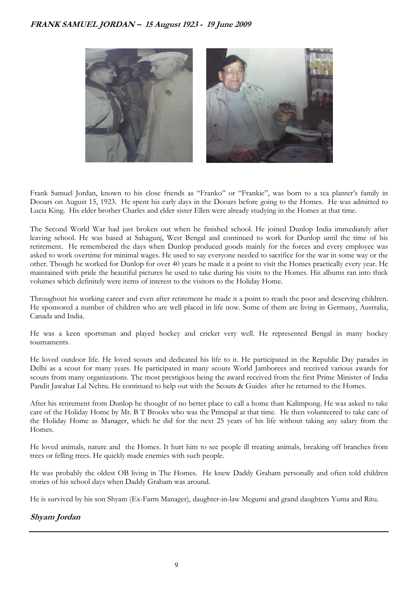

Frank Samuel Jordan, known to his close friends as "Franko" or "Frankie", was born to a tea planter's family in Dooars on August 15, 1923. He spent his early days in the Dooars before going to the Homes. He was admitted to Lucia King. His elder brother Charles and elder sister Ellen were already studying in the Homes at that time.

The Second World War had just broken out when he finished school. He joined Dunlop India immediately after leaving school. He was based at Sahagunj, West Bengal and continued to work for Dunlop until the time of his retirement. He remembered the days when Dunlop produced goods mainly for the forces and every employee was asked to work overtime for minimal wages. He used to say everyone needed to sacrifice for the war in some way or the other. Though he worked for Dunlop for over 40 years he made it a point to visit the Homes practically every year. He maintained with pride the beautiful pictures he used to take during his visits to the Homes. His albums ran into thick volumes which definitely were items of interest to the visitors to the Holiday Home.

Throughout his working career and even after retirement he made it a point to reach the poor and deserving children. He sponsored a number of children who are well placed in life now. Some of them are living in Germany, Australia, Canada and India.

He was a keen sportsman and played hockey and cricket very well. He represented Bengal in many hockey tournaments.

He loved outdoor life. He loved scouts and dedicated his life to it. He participated in the Republic Day parades in Delhi as a scout for many years. He participated in many scouts World Jamborees and received various awards for scouts from many organizations. The most prestigious being the award received from the first Prime Minister of India Pandit Jawahar Lal Nehru. He continued to help out with the Scouts & Guides after he returned to the Homes.

After his retirement from Dunlop he thought of no better place to call a home than Kalimpong. He was asked to take care of the Holiday Home by Mr. B T Brooks who was the Principal at that time. He then volunteered to take care of the Holiday Home as Manager, which he did for the next 25 years of his life without taking any salary from the Homes.

He loved animals, nature and the Homes. It hurt him to see people ill treating animals, breaking off branches from trees or felling trees. He quickly made enemies with such people.

He was probably the oldest OB living in The Homes. He knew Daddy Graham personally and often told children stories of his school days when Daddy Graham was around.

He is survived by his son Shyam (Ex-Farm Manager), daughter-in-law Megumi and grand daughters Yuma and Ritu.

### **Shyam Jordan**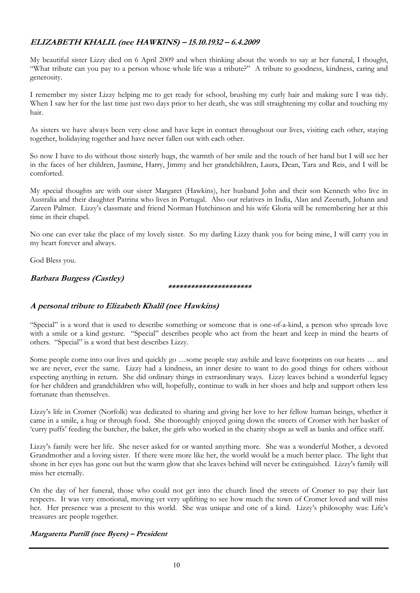## **ELIZABETH KHALIL (nee HAWKINS) – 15.10.1932 – 6.4.2009**

My beautiful sister Lizzy died on 6 April 2009 and when thinking about the words to say at her funeral, I thought, "What tribute can you pay to a person whose whole life was a tribute?" A tribute to goodness, kindness, caring and generosity.

I remember my sister Lizzy helping me to get ready for school, brushing my curly hair and making sure I was tidy. When I saw her for the last time just two days prior to her death, she was still straightening my collar and touching my hair.

As sisters we have always been very close and have kept in contact throughout our lives, visiting each other, staying together, holidaying together and have never fallen out with each other.

So now I have to do without those sisterly hugs, the warmth of her smile and the touch of her hand but I will see her in the faces of her children, Jasmine, Harry, Jimmy and her grandchildren, Laura, Dean, Tara and Reis, and I will be comforted.

My special thoughts are with our sister Margaret (Hawkins), her husband John and their son Kenneth who live in Australia and their daughter Patrina who lives in Portugal. Also our relatives in India, Alan and Zeenath, Johann and Zareen Palmer. Lizzy's classmate and friend Norman Hutchinson and his wife Gloria will be remembering her at this time in their chapel.

No one can ever take the place of my lovely sister. So my darling Lizzy thank you for being mine, I will carry you in my heart forever and always.

God Bless you.

## **Barbara Burgess (Castley)**

#### **\*\*\*\*\*\*\*\*\*\*\*\*\*\*\*\*\*\*\*\*\*\***

### **A personal tribute to Elizabeth Khalil (nee Hawkins)**

"Special" is a word that is used to describe something or someone that is one-of-a-kind, a person who spreads love with a smile or a kind gesture. "Special" describes people who act from the heart and keep in mind the hearts of others. "Special" is a word that best describes Lizzy.

Some people come into our lives and quickly go …some people stay awhile and leave footprints on our hearts … and we are never, ever the same. Lizzy had a kindness, an inner desire to want to do good things for others without expecting anything in return. She did ordinary things in extraordinary ways. Lizzy leaves behind a wonderful legacy for her children and grandchildren who will, hopefully, continue to walk in her shoes and help and support others less fortunate than themselves.

Lizzy's life in Cromer (Norfolk) was dedicated to sharing and giving her love to her fellow human beings, whether it came in a smile, a hug or through food. She thoroughly enjoyed going down the streets of Cromer with her basket of 'curry puffs' feeding the butcher, the baker, the girls who worked in the charity shops as well as banks and office staff.

Lizzy's family were her life. She never asked for or wanted anything more. She was a wonderful Mother, a devoted Grandmother and a loving sister. If there were more like her, the world would be a much better place. The light that shone in her eyes has gone out but the warm glow that she leaves behind will never be extinguished. Lizzy's family will miss her eternally.

On the day of her funeral, those who could not get into the church lined the streets of Cromer to pay their last respects. It was very emotional, moving yet very uplifting to see how much the town of Cromer loved and will miss her. Her presence was a present to this world. She was unique and one of a kind. Lizzy's philosophy was: Life's treasures are people together.

#### **Margaretta Purtill (nee Byers) – President**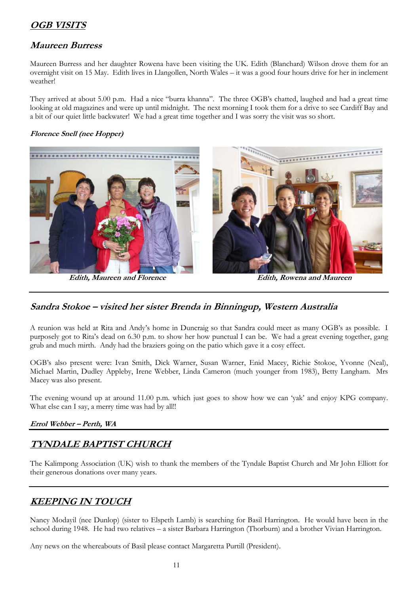# **OGB VISITS**

## **Maureen Burress**

Maureen Burress and her daughter Rowena have been visiting the UK. Edith (Blanchard) Wilson drove them for an overnight visit on 15 May. Edith lives in Llangollen, North Wales – it was a good four hours drive for her in inclement weather!

They arrived at about 5.00 p.m. Had a nice "burra khanna". The three OGB's chatted, laughed and had a great time looking at old magazines and were up until midnight. The next morning I took them for a drive to see Cardiff Bay and a bit of our quiet little backwater! We had a great time together and I was sorry the visit was so short.

### **Florence Snell (nee Hopper)**



 **Edith, Maureen and Florence Edith, Rowena and Maureen** 

## **Sandra Stokoe – visited her sister Brenda in Binningup, Western Australia**

A reunion was held at Rita and Andy's home in Duncraig so that Sandra could meet as many OGB's as possible. I purposely got to Rita's dead on 6.30 p.m. to show her how punctual I can be. We had a great evening together, gang grub and much mirth. Andy had the braziers going on the patio which gave it a cosy effect.

OGB's also present were: Ivan Smith, Dick Warner, Susan Warner, Enid Macey, Richie Stokoe, Yvonne (Neal), Michael Martin, Dudley Appleby, Irene Webber, Linda Cameron (much younger from 1983), Betty Langham. Mrs Macey was also present.

The evening wound up at around 11.00 p.m. which just goes to show how we can 'yak' and enjoy KPG company. What else can I say, a merry time was had by all!!

## **Errol Webber – Perth, WA**

# **TYNDALE BAPTIST CHURCH**

The Kalimpong Association (UK) wish to thank the members of the Tyndale Baptist Church and Mr John Elliott for their generous donations over many years.

## **KEEPING IN TOUCH**

Nancy Modayil (nee Dunlop) (sister to Elspeth Lamb) is searching for Basil Harrington. He would have been in the school during 1948. He had two relatives – a sister Barbara Harrington (Thorburn) and a brother Vivian Harrington.

Any news on the whereabouts of Basil please contact Margaretta Purtill (President).